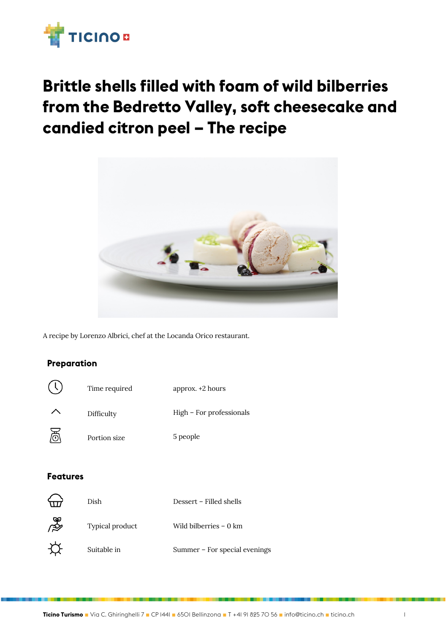

# **Brittle shells filled with foam of wild bilberries from the Bedretto Valley, soft cheesecake and candied citron peel – The recipe**



A recipe by Lorenzo Albrici, chef at the Locanda Orico restaurant.

### **Preparation**



#### **Features**

|           | Dish            | Dessert – Filled shells       |
|-----------|-----------------|-------------------------------|
| ्र<br>श्र | Typical product | Wild bilberries – 0 km        |
|           | Suitable in     | Summer – For special evenings |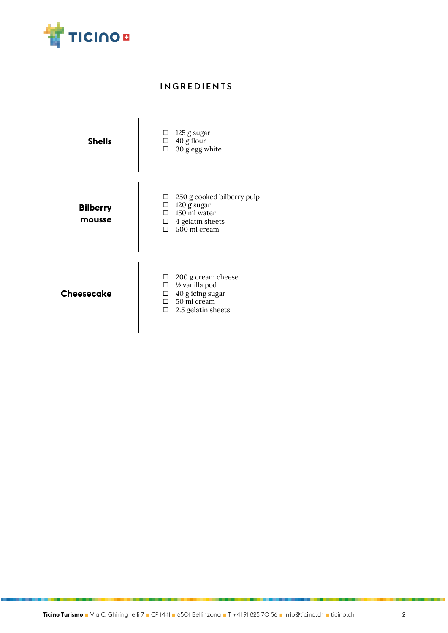

## INGREDIENTS

| <b>Shells</b>             | $\Box$ 125 g sugar<br>$\Box$ 40 g flour<br>$\Box$ 30 g egg white                                                             |
|---------------------------|------------------------------------------------------------------------------------------------------------------------------|
| <b>Bilberry</b><br>mousse | 250 g cooked bilberry pulp<br>$\Box$ 120 g sugar<br>$\Box$ 150 ml water<br>$\Box$ 4 gelatin sheets<br>$\Box$ 500 ml cream    |
| <b>Cheesecake</b>         | 200 g cream cheese<br>1/2 vanilla pod<br>$\Box$<br>$\Box$ 40 g icing sugar<br>$\Box$ 50 ml cream<br>Q.<br>2.5 gelatin sheets |

 $\overline{\phantom{a}}$